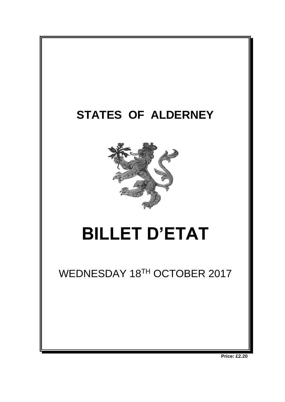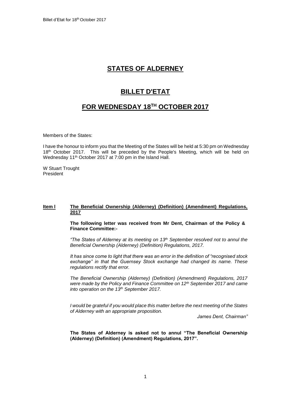# **STATES OF ALDERNEY**

# **BILLET D'ETAT**

# **FOR WEDNESDAY 18 TH OCTOBER 2017**

Members of the States:

I have the honour to inform you that the Meeting of the States will be held at 5:30 pm on Wednesday 18<sup>th</sup> October 2017. This will be preceded by the People's Meeting, which will be held on Wednesday 11<sup>th</sup> October 2017 at 7:00 pm in the Island Hall.

W Stuart Trought President

## **Item l The Beneficial Ownership (Alderney) (Definition) (Amendment) Regulations, 2017**

**The following letter was received from Mr Dent, Chairman of the Policy & Finance Committee:-**

*"The States of Alderney at its meeting on 13th September resolved not to annul the Beneficial Ownership (Alderney) (Definition) Regulations, 2017.*

*It has since come to light that there was an error in the definition of "recognised stock exchange" in that the Guernsey Stock exchange had changed its name. These regulations rectify that error.*

*The Beneficial Ownership (Alderney) (Definition) (Amendment) Regulations, 2017 were made by the Policy and Finance Committee on 12th September 2017 and came into operation on the 13th September 2017.* 

*I would be grateful if you would place this matter before the next meeting of the States of Alderney with an appropriate proposition.*

*James Dent, Chairman"*

**The States of Alderney is asked not to annul "The Beneficial Ownership (Alderney) (Definition) (Amendment) Regulations, 2017".**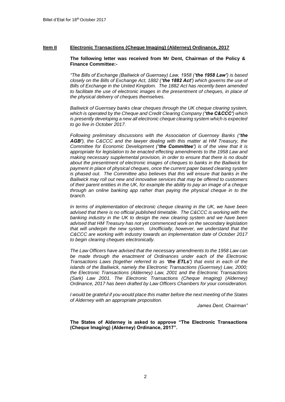## **Item II Electronic Transactions (Cheque Imaging) (Alderney) Ordinance, 2017**

## **The following letter was received from Mr Dent, Chairman of the Policy & Finance Committee:-**

*"The Bills of Exchange (Bailiwick of Guernsey) Law, 1958 ('the 1958 Law') is based closely on the Bills of Exchange Act, 1882 ('the 1882 Act') which governs the use of Bills of Exchange in the United Kingdom. The 1882 Act has recently been amended to facilitate the use of electronic images in the presentment of cheques, in place of the physical delivery of cheques themselves.* 

*Bailiwick of Guernsey banks clear cheques through the UK cheque clearing system, which is operated by the Cheque and Credit Clearing Company ('the C&CCC') which is presently developing a new all electronic cheque clearing system which is expected to go live in October 2017.* 

*Following preliminary discussions with the Association of Guernsey Banks ('the AGB'), the C&CCC and the lawyer dealing with this matter at HM Treasury, the Committee for Economic Development ('the Committee') is of the view that it is appropriate for legislation to be enacted effecting amendments to the 1958 Law and making necessary supplemental provision, in order to ensure that there is no doubt about the presentment of electronic images of cheques to banks in the Bailiwick for payment in place of physical cheques, once the current paper based clearing system is phased out. The Committee also believes that this will ensure that banks in the Bailiwick may roll out new and innovative services that may be offered to customers of their parent entities in the UK, for example the ability to pay an image of a cheque through an online banking app rather than paying the physical cheque in to the branch.*

*In terms of implementation of electronic cheque clearing in the UK, we have been advised that there is no official published timetable. The C&CCC is working with the banking industry in the UK to design the new clearing system and we have been advised that HM Treasury has not yet commenced work on the secondary legislation that will underpin the new system. Unofficially, however, we understand that the C&CCC are working with industry towards an implementation date of October 2017 to begin clearing cheques electronically.*

*The Law Officers have advised that the necessary amendments to the 1958 Law can be made through the enactment of Ordinances under each of the Electronic Transactions Laws (together referred to as 'the ETLs') that exist in each of the islands of the Bailiwick, namely the Electronic Transactions (Guernsey) Law, 2000; the Electronic Transactions (Alderney) Law, 2001 and the Electronic Transactions (Sark) Law 2001. The Electronic Transactions (Cheque Imaging) (Alderney) Ordinance, 2017 has been drafted by Law Officers Chambers for your consideration.*

*I would be grateful if you would place this matter before the next meeting of the States of Alderney with an appropriate proposition.*

*James Dent, Chairman"*

**The States of Alderney is asked to approve "The Electronic Transactions (Cheque Imaging) (Alderney) Ordinance, 2017".**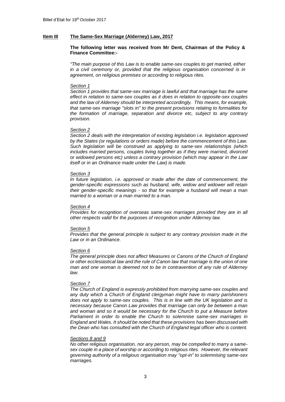## **Item III The Same-Sex Marriage (Alderney) Law, 2017**

## **The following letter was received from Mr Dent, Chairman of the Policy & Finance Committee:-**

*"The main purpose of this Law is to enable same-sex couples to get married, either in a civil ceremony or, provided that the religious organisation concerned is in agreement, on religious premises or according to religious rites.*

#### *Section 1*

*Section 1 provides that same-sex marriage is lawful and that marriage has the same effect in relation to same-sex couples as it does in relation to opposite-sex couples and the law of Alderney should be interpreted accordingly. This means, for example, that same-sex marriage "slots in" to the present provisions relating to formalities for the formation of marriage, separation and divorce etc, subject to any contrary provision.*

#### *Section 2*

*Section 2 deals with the interpretation of existing legislation i.e. legislation approved by the States (or regulations or orders made) before the commencement of this Law. Such legislation will be construed as applying to same-sex relationships (which includes married persons, couples living together as if they were married, divorced or widowed persons etc) unless a contrary provision (which may appear in the Law itself or in an Ordinance made under the Law) is made.* 

#### *Section 3*

*In future legislation, i.e. approved or made after the date of commencement, the gender-specific expressions such as husband, wife, widow and widower will retain their gender-specific meanings - so that for example a husband will mean a man married to a woman or a man married to a man.*

## *Section 4*

*Provides for recognition of overseas same-sex marriages provided they are in all other respects valid for the purposes of recognition under Alderney law.*

#### *Section 5*

*Provides that the general principle is subject to any contrary provision made in the Law or in an Ordinance.*

#### *Section 6*

*The general principle does not affect Measures or Canons of the Church of England or other ecclesiastical law and the rule of Canon law that marriage is the union of one man and one woman is deemed not to be in contravention of any rule of Alderney law.* 

#### *Section 7*

*The Church of England is expressly prohibited from marrying same-sex couples and any duty which a Church of England clergyman might have to marry parishioners does not apply to same-sex couples. This is in line with the UK legislation and is necessary because Canon Law provides that marriage can only be between a man and woman and so it would be necessary for the Church to put a Measure before Parliament in order to enable the Church to solemnise same-sex marriages in England and Wales. It should be noted that these provisions has been discussed with the Dean who has consulted with the Church of England legal officer who is content.*

#### *Sections 8 and 9*

*No other religious organisation, nor any person, may be compelled to marry a samesex couple in a place of worship or according to religious rites. However, the relevant governing authority of a religious organisation may "opt-in" to solemnising same-sex marriages.*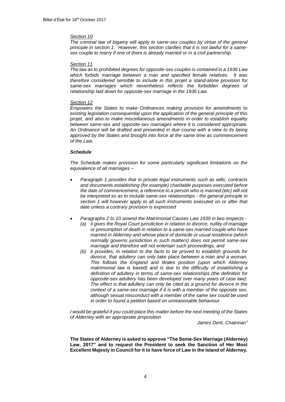## *Section 10*

*The criminal law of bigamy will apply to same-sex couples by virtue of the general principle in section 1. However, this section clarifies that it is not lawful for a samesex couple to marry if one of them is already married or in a civil partnership.* 

### *Section 11*

*The law as to prohibited degrees for opposite-sex couples is contained in a 1936 Law which forbids marriage between a man and specified female relatives. It was therefore considered sensible to include in this projet a stand-alone provision for same-sex marriages which nevertheless reflects the forbidden degrees of relationship laid down for opposite-sex marriage in the 1936 Law.*

## *Section 12*

*Empowers the States to make Ordinances making provision for amendments to existing legislation consequential upon the application of the general principle of this projet, and also to make miscellaneous amendments in order to establish equality between same-sex and opposite-sex marriages where it is considered appropriate. An Ordinance will be drafted and presented in due course with a view to its being approved by the States and brought into force at the same time as commencement of the Law.*

## *Schedule*

*The Schedule makes provision for some particularly significant limitations on the equivalence of all marriages –*

- *Paragraph 1 provides that in private legal instruments such as wills, contracts and documents establishing (for example) charitable purposes executed before the date of commencement, a reference to a person who is married (etc) will not be interpreted so as to include same-sex relationships - the general principle in section 1 will however apply to all such instruments executed on or after that date unless a contrary provision is expressed*
	- *Paragraphs 2 to 10 amend the Matrimonial Causes Law 1939 in two respects - (a) it gives the Royal Court jurisdiction in relation to divorce, nullity of marriage or presumption of death in relation to a same-sex married couple who have married in Alderney and whose place of domicile or usual residence (which normally governs jurisdiction in such matters) does not permit same-sex marriage and therefore will not entertain such proceedings, and*
		- *(b) it provides, in relation to the facts to be proved to establish grounds for divorce, that adultery can only take place between a man and a woman. This follows the England and Wales position (upon which Alderney matrimonial law is based) and is due to the difficulty of establishing a definition of adultery in terms of same-sex relationships (the definition for opposite-sex adultery has been developed over many years of case law). The effect is that adultery can only be cited as a ground for divorce in the context of a same-sex marriage if it is with a member of the opposite sex, although sexual misconduct with a member of the same sex could be used in order to found a petition based on unreasonable behaviour.*

*I would be grateful if you could place this matter before the next meeting of the States of Alderney with an appropriate proposition*

*James Dent, Chairman"*

**The States of Alderney is asked to approve "The Same-Sex Marriage (Alderney) Law, 2017" and to request the President to seek the Sanction of Her Most Excellent Majesty in Council for it to have force of Law in the Island of Alderney.**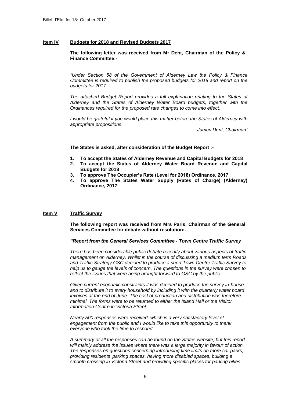## **Item IV Budgets for 2018 and Revised Budgets 2017**

## **The following letter was received from Mr Dent, Chairman of the Policy & Finance Committee:-**

*"Under Section 58 of the Government of Alderney Law the Policy & Finance Committee is required to publish the proposed budgets for 2018 and report on the budgets for 2017.* 

*The attached Budget Report provides a full explanation relating to the States of Alderney and the States of Alderney Water Board budgets, together with the Ordinances required for the proposed rate changes to come into effect.* 

*I would be grateful if you would place this matter before the States of Alderney with appropriate propositions.*

*James Dent, Chairman"*

**The States is asked, after consideration of the Budget Report :-**

- **1. To accept the States of Alderney Revenue and Capital Budgets for 2018**
- **2. To accept the States of Alderney Water Board Revenue and Capital Budgets for 2018**
- **3. To approve The Occupier's Rate (Level for 2018) Ordinance, 2017**
- **4. To approve The States Water Supply (Rates of Charge) (Alderney) Ordinance, 2017**

## **Item V Traffic Survey**

**The following report was received from Mrs Paris, Chairman of the General Services Committee for debate without resolution:-**

## *"Report from the General Services Committee - Town Centre Traffic Survey*

*There has been considerable public debate recently about various aspects of traffic management on Alderney. Whilst in the course of discussing a medium term Roads and Traffic Strategy GSC decided to produce a short Town Centre Traffic Survey to help us to gauge the levels of concern. The questions in the survey were chosen to reflect the issues that were being brought forward to GSC by the public.*

*Given current economic constraints it was decided to produce the survey in-house and to distribute it to every household by including it with the quarterly water board invoices at the end of June. The cost of production and distribution was therefore minimal. The forms were to be returned to either the Island Hall or the Visitor Information Centre in Victoria Street.*

*Nearly 500 responses were received, which is a very satisfactory level of engagement from the public and I would like to take this opportunity to thank everyone who took the time to respond.*

*A summary of all the responses can be found on the States website, but this report will mainly address the issues where there was a large majority in favour of action. The responses on questions concerning introducing time limits on more car parks, providing residents' parking spaces, having more disabled spaces, building a smooth crossing in Victoria Street and providing specific places for parking bikes*